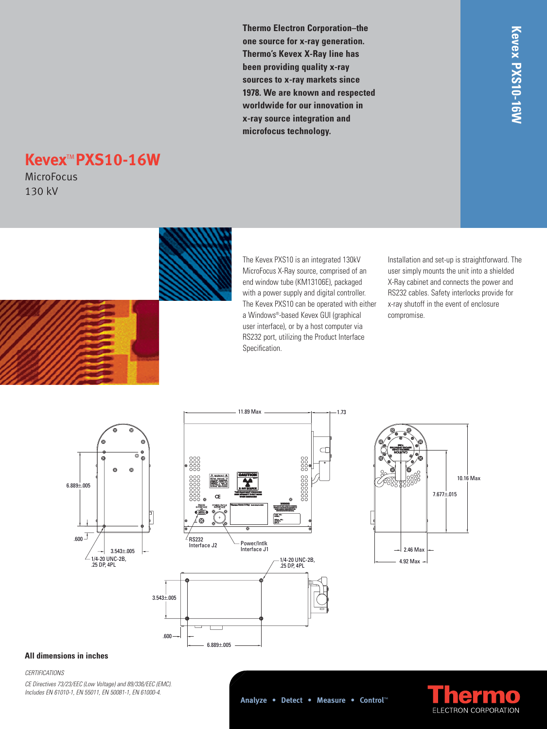**Thermo Electron Corporation–the one source for x-ray generation. Thermo's Kevex X-Ray line has been providing quality x-ray sources to x-ray markets since 1978. We are known and respected worldwide for our innovation in x-ray source integration and microfocus technology.**

# **Kevex**TM **PXS10-16W**

**MicroFocus** 130 kV



The Kevex PXS10 is an integrated 130kV MicroFocus X-Ray source, comprised of an end window tube (KM13106E), packaged with a power supply and digital controller. The Kevex PXS10 can be operated with either a Windows®-based Kevex GUI (graphical user interface), or by a host computer via RS232 port, utilizing the Product Interface Specification.

11.89 Max 1.73

Installation and set-up is straightforward. The user simply mounts the unit into a shielded X-Ray cabinet and connects the power and RS232 cables. Safety interlocks provide for x-ray shutoff in the event of enclosure compromise.





6.889±.005



## **All dimensions in inches**

#### *CERTIFICATIONS*

*CE Directives 73/23/EEC (Low Voltage) and 89/336/EEC (EMC). Includes EN 61010-1, EN 55011, EN 50081-1, EN 61000-4.*